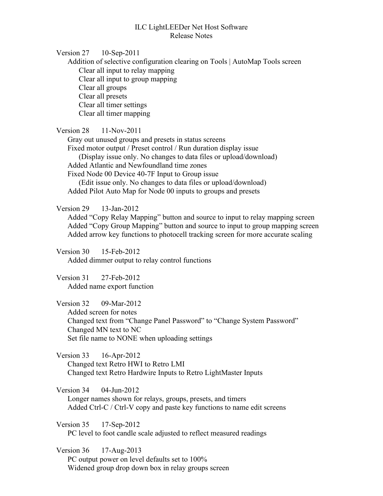## ILC LightLEEDer Net Host Software Release Notes

Version 27 10-Sep-2011

Addition of selective configuration clearing on Tools | AutoMap Tools screen Clear all input to relay mapping Clear all input to group mapping Clear all groups Clear all presets Clear all timer settings Clear all timer mapping

Version 28 11-Nov-2011

Gray out unused groups and presets in status screens Fixed motor output / Preset control / Run duration display issue (Display issue only. No changes to data files or upload/download) Added Atlantic and Newfoundland time zones Fixed Node 00 Device 40-7F Input to Group issue (Edit issue only. No changes to data files or upload/download) Added Pilot Auto Map for Node 00 inputs to groups and presets

Version 29 13-Jan-2012

Added "Copy Relay Mapping" button and source to input to relay mapping screen Added "Copy Group Mapping" button and source to input to group mapping screen Added arrow key functions to photocell tracking screen for more accurate scaling

Version 30 15-Feb-2012 Added dimmer output to relay control functions

Version 31 27-Feb-2012 Added name export function

Version 32 09-Mar-2012 Added screen for notes Changed text from "Change Panel Password" to "Change System Password" Changed MN text to NC Set file name to NONE when uploading settings

Version 33 16-Apr-2012 Changed text Retro HWI to Retro LMI Changed text Retro Hardwire Inputs to Retro LightMaster Inputs

Version 34 04-Jun-2012 Longer names shown for relays, groups, presets, and timers Added Ctrl-C / Ctrl-V copy and paste key functions to name edit screens

Version 35 17-Sep-2012 PC level to foot candle scale adjusted to reflect measured readings

Version 36 17-Aug-2013 PC output power on level defaults set to 100% Widened group drop down box in relay groups screen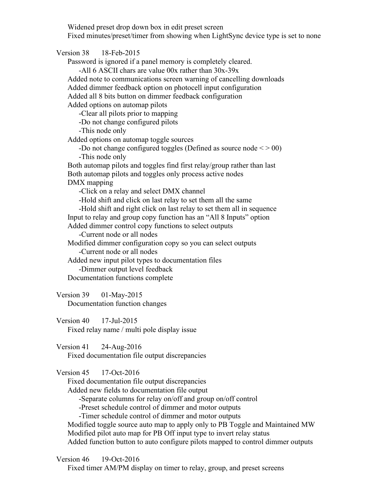Widened preset drop down box in edit preset screen Fixed minutes/preset/timer from showing when LightSync device type is set to none

Version 38 18-Feb-2015 Password is ignored if a panel memory is completely cleared. -All 6 ASCII chars are value 00x rather than 30x-39x Added note to communications screen warning of cancelling downloads Added dimmer feedback option on photocell input configuration Added all 8 bits button on dimmer feedback configuration Added options on automap pilots -Clear all pilots prior to mapping -Do not change configured pilots -This node only Added options on automap toggle sources -Do not change configured toggles (Defined as source node  $\leq$  > 00) -This node only Both automap pilots and toggles find first relay/group rather than last Both automap pilots and toggles only process active nodes DMX mapping -Click on a relay and select DMX channel -Hold shift and click on last relay to set them all the same -Hold shift and right click on last relay to set them all in sequence Input to relay and group copy function has an "All 8 Inputs" option Added dimmer control copy functions to select outputs -Current node or all nodes Modified dimmer configuration copy so you can select outputs -Current node or all nodes Added new input pilot types to documentation files -Dimmer output level feedback Documentation functions complete

Version 39 01-May-2015 Documentation function changes

Version 40 17-Jul-2015 Fixed relay name / multi pole display issue

Version 41 24-Aug-2016 Fixed documentation file output discrepancies

Version 45 17-Oct-2016

Fixed documentation file output discrepancies

Added new fields to documentation file output

-Separate columns for relay on/off and group on/off control

-Preset schedule control of dimmer and motor outputs

-Timer schedule control of dimmer and motor outputs

Modified toggle source auto map to apply only to PB Toggle and Maintained MW Modified pilot auto map for PB Off input type to invert relay status

Added function button to auto configure pilots mapped to control dimmer outputs

Version 46 19-Oct-2016

Fixed timer AM/PM display on timer to relay, group, and preset screens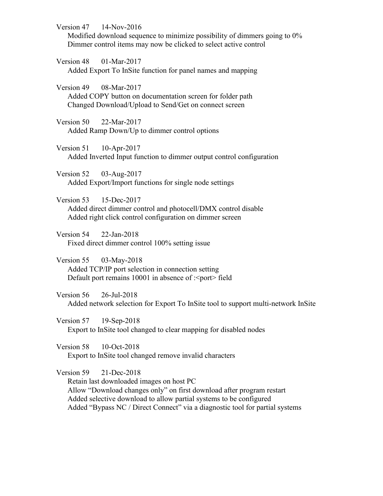Version 47 14-Nov-2016

Modified download sequence to minimize possibility of dimmers going to 0% Dimmer control items may now be clicked to select active control

Version 48 01-Mar-2017 Added Export To InSite function for panel names and mapping

Version 49 08-Mar-2017 Added COPY button on documentation screen for folder path Changed Download/Upload to Send/Get on connect screen

Version 50 22-Mar-2017 Added Ramp Down/Up to dimmer control options

Version 51 10-Apr-2017 Added Inverted Input function to dimmer output control configuration

Version 52 03-Aug-2017 Added Export/Import functions for single node settings

Version 53 15-Dec-2017 Added direct dimmer control and photocell/DMX control disable Added right click control configuration on dimmer screen

Version 54 22-Jan-2018 Fixed direct dimmer control 100% setting issue

Version 55 03-May-2018 Added TCP/IP port selection in connection setting Default port remains 10001 in absence of :<port>field

Version 56 26-Jul-2018 Added network selection for Export To InSite tool to support multi-network InSite

Version 57 19-Sep-2018 Export to InSite tool changed to clear mapping for disabled nodes

Version 58 10-Oct-2018 Export to InSite tool changed remove invalid characters

Version 59 21-Dec-2018

Retain last downloaded images on host PC Allow "Download changes only" on first download after program restart Added selective download to allow partial systems to be configured Added "Bypass NC / Direct Connect" via a diagnostic tool for partial systems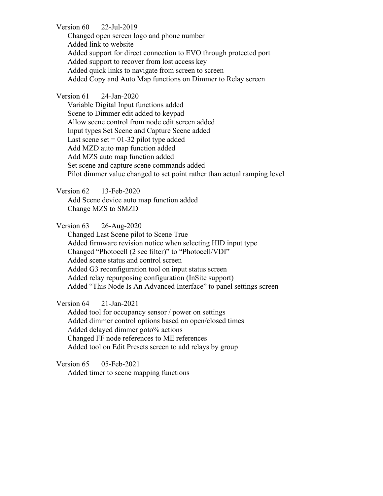Version 60 22-Jul-2019

Changed open screen logo and phone number Added link to website Added support for direct connection to EVO through protected port Added support to recover from lost access key Added quick links to navigate from screen to screen Added Copy and Auto Map functions on Dimmer to Relay screen

## Version 61 24-Jan-2020

Variable Digital Input functions added Scene to Dimmer edit added to keypad Allow scene control from node edit screen added Input types Set Scene and Capture Scene added Last scene set  $= 01-32$  pilot type added Add MZD auto map function added Add MZS auto map function added Set scene and capture scene commands added Pilot dimmer value changed to set point rather than actual ramping level

Version 62 13-Feb-2020

Add Scene device auto map function added Change MZS to SMZD

Version 63 26-Aug-2020

Changed Last Scene pilot to Scene True Added firmware revision notice when selecting HID input type Changed "Photocell (2 sec filter)" to "Photocell/VDI" Added scene status and control screen Added G3 reconfiguration tool on input status screen Added relay repurposing configuration (InSite support) Added "This Node Is An Advanced Interface" to panel settings screen

Version 64 21-Jan-2021

Added tool for occupancy sensor / power on settings Added dimmer control options based on open/closed times Added delayed dimmer goto% actions Changed FF node references to ME references Added tool on Edit Presets screen to add relays by group

Version 65 05-Feb-2021

Added timer to scene mapping functions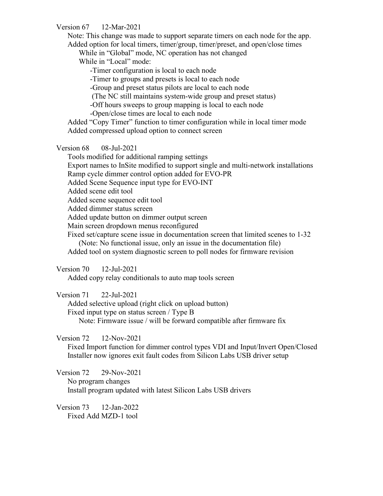Version 67 12-Mar-2021

Note: This change was made to support separate timers on each node for the app. Added option for local timers, timer/group, timer/preset, and open/close times

While in "Global" mode, NC operation has not changed

While in "Local" mode:

-Timer configuration is local to each node

-Timer to groups and presets is local to each node

-Group and preset status pilots are local to each node

(The NC still maintains system-wide group and preset status)

-Off hours sweeps to group mapping is local to each node

-Open/close times are local to each node

Added "Copy Timer" function to timer configuration while in local timer mode Added compressed upload option to connect screen

Version 68 08-Jul-2021

Tools modified for additional ramping settings

Export names to InSite modified to support single and multi-network installations Ramp cycle dimmer control option added for EVO-PR

Added Scene Sequence input type for EVO-INT

Added scene edit tool

Added scene sequence edit tool

Added dimmer status screen

Added update button on dimmer output screen

Main screen dropdown menus reconfigured

Fixed set/capture scene issue in documentation screen that limited scenes to 1-32

(Note: No functional issue, only an issue in the documentation file)

Added tool on system diagnostic screen to poll nodes for firmware revision

Version 70 12-Jul-2021

Added copy relay conditionals to auto map tools screen

Version 71 22-Jul-2021

Added selective upload (right click on upload button) Fixed input type on status screen / Type B Note: Firmware issue / will be forward compatible after firmware fix

Version 72 12-Nov-2021

Fixed Import function for dimmer control types VDI and Input/Invert Open/Closed Installer now ignores exit fault codes from Silicon Labs USB driver setup

Version 72 29-Nov-2021 No program changes Install program updated with latest Silicon Labs USB drivers

Version 73 12-Jan-2022 Fixed Add MZD-1 tool